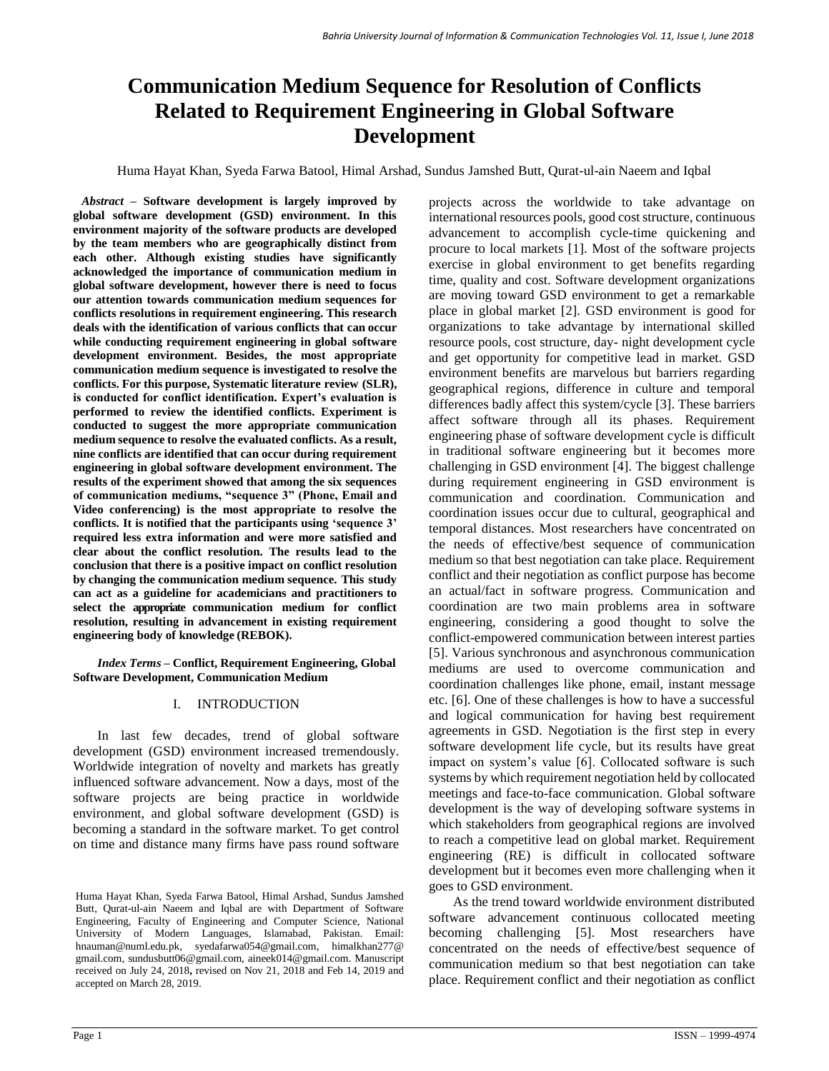# **Communication Medium Sequence for Resolution of Conflicts Related to Requirement Engineering in Global Software Development**

Huma Hayat Khan, Syeda Farwa Batool, Himal Arshad, Sundus Jamshed Butt, Qurat-ul-ain Naeem and Iqbal

*Abstract –* **Software development is largely improved by global software development (GSD) environment. In this environment majority of the software products are developed by the team members who are geographically distinct from each other. Although existing studies have significantly acknowledged the importance of communication medium in global software development, however there is need to focus our attention towards communication medium sequences for conflicts resolutions in requirement engineering. This research deals with the identification of various conflicts that can occur while conducting requirement engineering in global software development environment. Besides, the most appropriate communication medium sequence is investigated to resolve the conflicts. For this purpose, Systematic literature review (SLR), is conducted for conflict identification. Expert's evaluation is performed to review the identified conflicts. Experiment is conducted to suggest the more appropriate communication medium sequence to resolve the evaluated conflicts. As a result, nine conflicts are identified that can occur during requirement engineering in global software development environment. The results of the experiment showed that among the six sequences of communication mediums, "sequence 3" (Phone, Email and Video conferencing) is the most appropriate to resolve the conflicts. It is notified that the participants using 'sequence 3' required less extra information and were more satisfied and clear about the conflict resolution. The results lead to the conclusion that there is a positive impact on conflict resolution by changing the communication medium sequence. This study can act as a guideline for academicians and practitioners to select the appropriate communication medium for conflict resolution, resulting in advancement in existing requirement engineering body of knowledge (REBOK).**

*Index Terms –* **Conflict, Requirement Engineering, Global Software Development, Communication Medium**

### I. INTRODUCTION

In last few decades, trend of global software development (GSD) environment increased tremendously. Worldwide integration of novelty and markets has greatly influenced software advancement. Now a days, most of the software projects are being practice in worldwide environment, and global software development (GSD) is becoming a standard in the software market. To get control on time and distance many firms have pass round software projects across the worldwide to take advantage on international resources pools, good cost structure, continuous advancement to accomplish cycle-time quickening and procure to local markets [1]. Most of the software projects exercise in global environment to get benefits regarding time, quality and cost. Software development organizations are moving toward GSD environment to get a remarkable place in global market [2]. GSD environment is good for organizations to take advantage by international skilled resource pools, cost structure, day- night development cycle and get opportunity for competitive lead in market. GSD environment benefits are marvelous but barriers regarding geographical regions, difference in culture and temporal differences badly affect this system/cycle [3]. These barriers affect software through all its phases. Requirement engineering phase of software development cycle is difficult in traditional software engineering but it becomes more challenging in GSD environment [4]. The biggest challenge during requirement engineering in GSD environment is communication and coordination. Communication and coordination issues occur due to cultural, geographical and temporal distances. Most researchers have concentrated on the needs of effective/best sequence of communication medium so that best negotiation can take place. Requirement conflict and their negotiation as conflict purpose has become an actual/fact in software progress. Communication and coordination are two main problems area in software engineering, considering a good thought to solve the conflict-empowered communication between interest parties [5]. Various synchronous and asynchronous communication mediums are used to overcome communication and coordination challenges like phone, email, instant message etc. [6]. One of these challenges is how to have a successful and logical communication for having best requirement agreements in GSD. Negotiation is the first step in every software development life cycle, but its results have great impact on system's value [6]. Collocated software is such systems by which requirement negotiation held by collocated meetings and face-to-face communication. Global software development is the way of developing software systems in which stakeholders from geographical regions are involved to reach a competitive lead on global market. Requirement engineering (RE) is difficult in collocated software development but it becomes even more challenging when it goes to GSD environment.

As the trend toward worldwide environment distributed software advancement continuous collocated meeting becoming challenging [5]. Most researchers have concentrated on the needs of effective/best sequence of communication medium so that best negotiation can take place. Requirement conflict and their negotiation as conflict

Huma Hayat Khan, Syeda Farwa Batool, Himal Arshad, Sundus Jamshed Butt, Qurat-ul-ain Naeem and Iqbal are with Department of Software Engineering, Faculty of Engineering and Computer Science, National University of Modern Languages, Islamabad, Pakistan. Email: hnauman@numl.edu.pk, syedafarwa054@gmail.com, himalkhan277@ gmail.com, sundusbutt06@gmail.com, aineek014@gmail.com. Manuscript received on July 24, 2018**,** revised on Nov 21, 2018 and Feb 14, 2019 and accepted on March 28, 2019.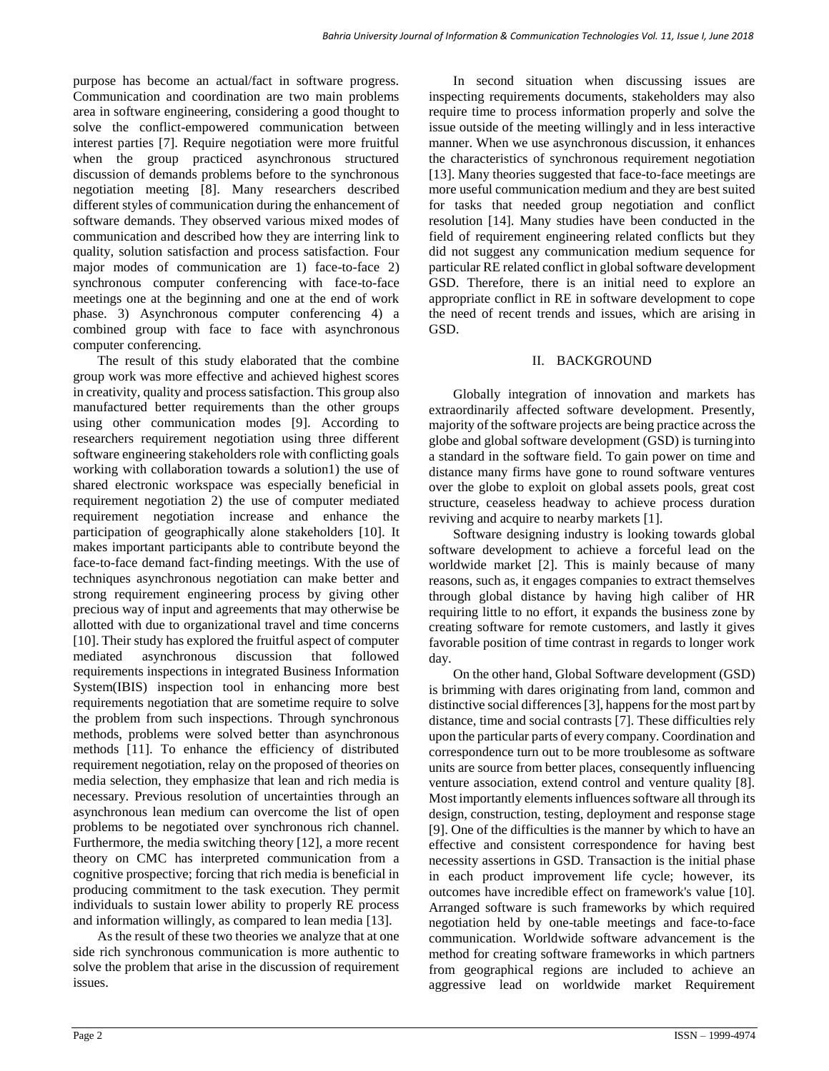purpose has become an actual/fact in software progress. Communication and coordination are two main problems area in software engineering, considering a good thought to solve the conflict-empowered communication between interest parties [7]. Require negotiation were more fruitful when the group practiced asynchronous structured discussion of demands problems before to the synchronous negotiation meeting [8]. Many researchers described different styles of communication during the enhancement of software demands. They observed various mixed modes of communication and described how they are interring link to quality, solution satisfaction and process satisfaction. Four major modes of communication are 1) face-to-face 2) synchronous computer conferencing with face-to-face meetings one at the beginning and one at the end of work phase. 3) Asynchronous computer conferencing 4) a combined group with face to face with asynchronous computer conferencing.

The result of this study elaborated that the combine group work was more effective and achieved highest scores in creativity, quality and process satisfaction. This group also manufactured better requirements than the other groups using other communication modes [9]. According to researchers requirement negotiation using three different software engineering stakeholders role with conflicting goals working with collaboration towards a solution1) the use of shared electronic workspace was especially beneficial in requirement negotiation 2) the use of computer mediated requirement negotiation increase and enhance the participation of geographically alone stakeholders [10]. It makes important participants able to contribute beyond the face-to-face demand fact-finding meetings. With the use of techniques asynchronous negotiation can make better and strong requirement engineering process by giving other precious way of input and agreements that may otherwise be allotted with due to organizational travel and time concerns [10]. Their study has explored the fruitful aspect of computer mediated asynchronous discussion that followed requirements inspections in integrated Business Information System(IBIS) inspection tool in enhancing more best requirements negotiation that are sometime require to solve the problem from such inspections. Through synchronous methods, problems were solved better than asynchronous methods [11]. To enhance the efficiency of distributed requirement negotiation, relay on the proposed of theories on media selection, they emphasize that lean and rich media is necessary. Previous resolution of uncertainties through an asynchronous lean medium can overcome the list of open problems to be negotiated over synchronous rich channel. Furthermore, the media switching theory [12], a more recent theory on CMC has interpreted communication from a cognitive prospective; forcing that rich media is beneficial in producing commitment to the task execution. They permit individuals to sustain lower ability to properly RE process and information willingly, as compared to lean media [13].

As the result of these two theories we analyze that at one side rich synchronous communication is more authentic to solve the problem that arise in the discussion of requirement issues.

In second situation when discussing issues are inspecting requirements documents, stakeholders may also require time to process information properly and solve the issue outside of the meeting willingly and in less interactive manner. When we use asynchronous discussion, it enhances the characteristics of synchronous requirement negotiation [13]. Many theories suggested that face-to-face meetings are more useful communication medium and they are best suited for tasks that needed group negotiation and conflict resolution [14]. Many studies have been conducted in the field of requirement engineering related conflicts but they did not suggest any communication medium sequence for particular RE related conflict in global software development GSD. Therefore, there is an initial need to explore an appropriate conflict in RE in software development to cope the need of recent trends and issues, which are arising in GSD.

# II. BACKGROUND

Globally integration of innovation and markets has extraordinarily affected software development. Presently, majority of the software projects are being practice acrossthe globe and global software development (GSD) is turninginto a standard in the software field. To gain power on time and distance many firms have gone to round software ventures over the globe to exploit on global assets pools, great cost structure, ceaseless headway to achieve process duration reviving and acquire to nearby markets [1].

Software designing industry is looking towards global software development to achieve a forceful lead on the worldwide market [2]. This is mainly because of many reasons, such as, it engages companies to extract themselves through global distance by having high caliber of HR requiring little to no effort, it expands the business zone by creating software for remote customers, and lastly it gives favorable position of time contrast in regards to longer work day.

On the other hand, Global Software development (GSD) is brimming with dares originating from land, common and distinctive social differences [3], happens for the most part by distance, time and social contrasts [7]. These difficulties rely upon the particular parts of every company. Coordination and correspondence turn out to be more troublesome as software units are source from better places, consequently influencing venture association, extend control and venture quality [8]. Most importantly elements influences software all through its design, construction, testing, deployment and response stage [9]. One of the difficulties is the manner by which to have an effective and consistent correspondence for having best necessity assertions in GSD. Transaction is the initial phase in each product improvement life cycle; however, its outcomes have incredible effect on framework's value [10]. Arranged software is such frameworks by which required negotiation held by one-table meetings and face-to-face communication. Worldwide software advancement is the method for creating software frameworks in which partners from geographical regions are included to achieve an aggressive lead on worldwide market Requirement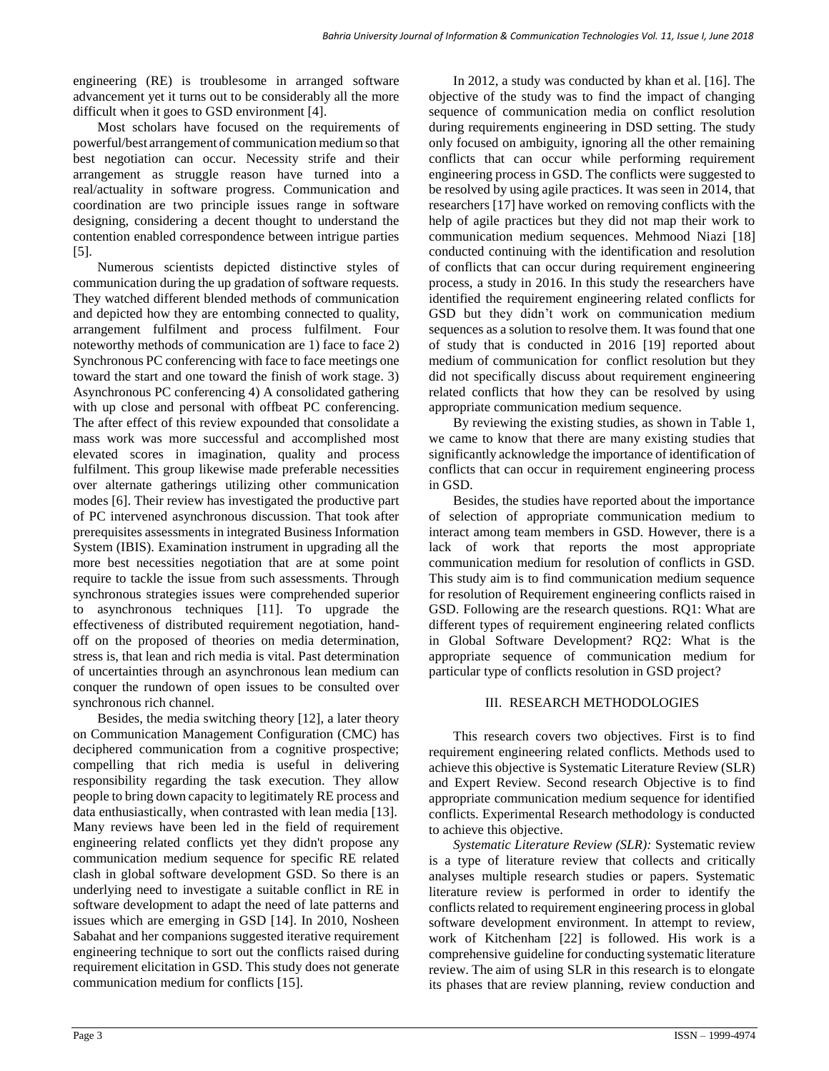engineering (RE) is troublesome in arranged software advancement yet it turns out to be considerably all the more difficult when it goes to GSD environment [4].

Most scholars have focused on the requirements of powerful/best arrangement of communication mediumso that best negotiation can occur. Necessity strife and their arrangement as struggle reason have turned into a real/actuality in software progress. Communication and coordination are two principle issues range in software designing, considering a decent thought to understand the contention enabled correspondence between intrigue parties [5].

Numerous scientists depicted distinctive styles of communication during the up gradation of software requests. They watched different blended methods of communication and depicted how they are entombing connected to quality, arrangement fulfilment and process fulfilment. Four noteworthy methods of communication are 1) face to face 2) Synchronous PC conferencing with face to face meetings one toward the start and one toward the finish of work stage. 3) Asynchronous PC conferencing 4) A consolidated gathering with up close and personal with offbeat PC conferencing. The after effect of this review expounded that consolidate a mass work was more successful and accomplished most elevated scores in imagination, quality and process fulfilment. This group likewise made preferable necessities over alternate gatherings utilizing other communication modes [6]. Their review has investigated the productive part of PC intervened asynchronous discussion. That took after prerequisites assessments in integrated Business Information System (IBIS). Examination instrument in upgrading all the more best necessities negotiation that are at some point require to tackle the issue from such assessments. Through synchronous strategies issues were comprehended superior to asynchronous techniques [11]. To upgrade the effectiveness of distributed requirement negotiation, handoff on the proposed of theories on media determination, stress is, that lean and rich media is vital. Past determination of uncertainties through an asynchronous lean medium can conquer the rundown of open issues to be consulted over synchronous rich channel.

Besides, the media switching theory [12], a later theory on Communication Management Configuration (CMC) has deciphered communication from a cognitive prospective; compelling that rich media is useful in delivering responsibility regarding the task execution. They allow people to bring down capacity to legitimately RE process and data enthusiastically, when contrasted with lean media [13]. Many reviews have been led in the field of requirement engineering related conflicts yet they didn't propose any communication medium sequence for specific RE related clash in global software development GSD. So there is an underlying need to investigate a suitable conflict in RE in software development to adapt the need of late patterns and issues which are emerging in GSD [14]. In 2010, Nosheen Sabahat and her companions suggested iterative requirement engineering technique to sort out the conflicts raised during requirement elicitation in GSD. This study does not generate communication medium for conflicts [15].

In 2012, a study was conducted by khan et al. [16]. The objective of the study was to find the impact of changing sequence of communication media on conflict resolution during requirements engineering in DSD setting. The study only focused on ambiguity, ignoring all the other remaining conflicts that can occur while performing requirement engineering process in GSD. The conflicts were suggested to be resolved by using agile practices. It was seen in 2014, that researchers [17] have worked on removing conflicts with the help of agile practices but they did not map their work to communication medium sequences. Mehmood Niazi [18] conducted continuing with the identification and resolution of conflicts that can occur during requirement engineering process, a study in 2016. In this study the researchers have identified the requirement engineering related conflicts for GSD but they didn't work on communication medium sequences as a solution to resolve them. It was found that one of study that is conducted in 2016 [19] reported about medium of communication for conflict resolution but they did not specifically discuss about requirement engineering related conflicts that how they can be resolved by using appropriate communication medium sequence.

By reviewing the existing studies, as shown in Table 1, we came to know that there are many existing studies that significantly acknowledge the importance of identification of conflicts that can occur in requirement engineering process in GSD.

Besides, the studies have reported about the importance of selection of appropriate communication medium to interact among team members in GSD. However, there is a lack of work that reports the most appropriate communication medium for resolution of conflicts in GSD. This study aim is to find communication medium sequence for resolution of Requirement engineering conflicts raised in GSD. Following are the research questions. RQ1: What are different types of requirement engineering related conflicts in Global Software Development? RQ2: What is the appropriate sequence of communication medium for particular type of conflicts resolution in GSD project?

# III. RESEARCH METHODOLOGIES

This research covers two objectives. First is to find requirement engineering related conflicts. Methods used to achieve this objective is Systematic Literature Review (SLR) and Expert Review. Second research Objective is to find appropriate communication medium sequence for identified conflicts. Experimental Research methodology is conducted to achieve this objective.

*Systematic Literature Review (SLR):* Systematic review is a type of literature review that collects and critically analyses multiple research studies or papers. Systematic literature review is performed in order to identify the conflicts related to requirement engineering process in global software development environment. In attempt to review, work of Kitchenham [22] is followed. His work is a comprehensive guideline for conducting systematic literature review. The aim of using SLR in this research is to elongate its phases that are review planning, review conduction and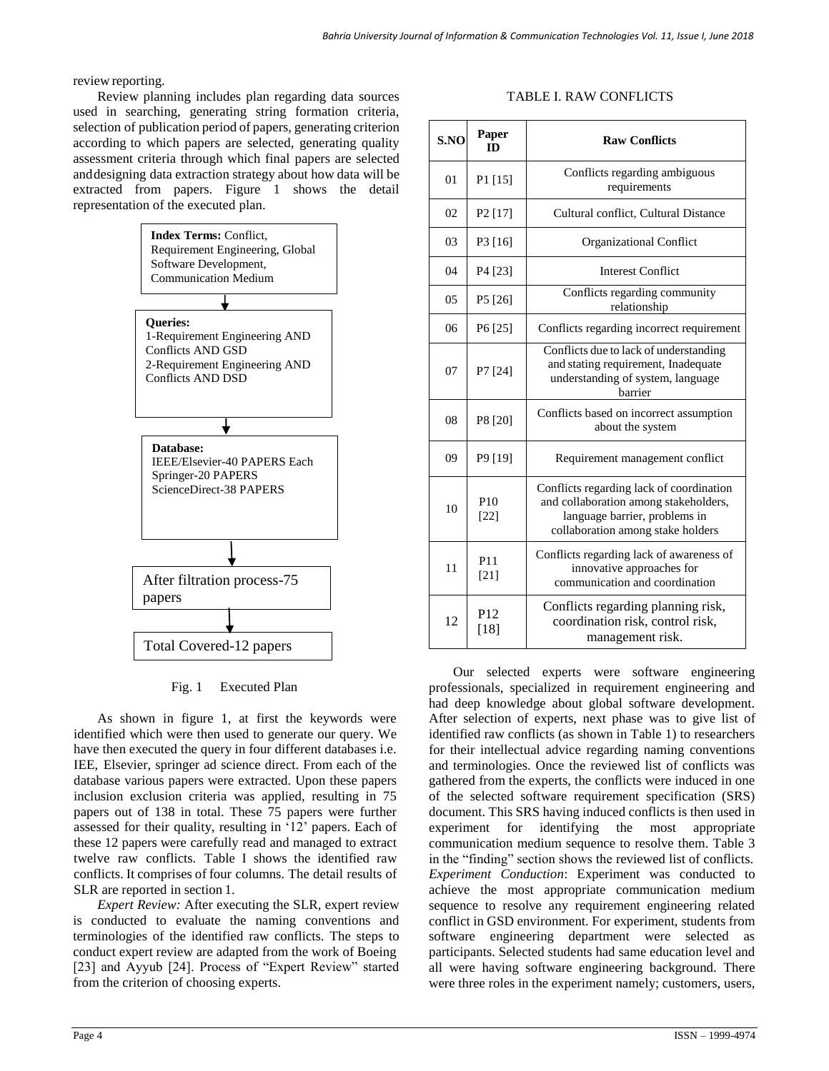review reporting.

Review planning includes plan regarding data sources used in searching, generating string formation criteria, selection of publication period of papers, generating criterion according to which papers are selected, generating quality assessment criteria through which final papers are selected anddesigning data extraction strategy about how data will be extracted from papers. Figure 1 shows the detail representation of the executed plan.



### Fig. 1 Executed Plan

As shown in figure 1, at first the keywords were identified which were then used to generate our query. We have then executed the query in four different databases i.e. IEE, Elsevier, springer ad science direct. From each of the database various papers were extracted. Upon these papers inclusion exclusion criteria was applied, resulting in 75 papers out of 138 in total. These 75 papers were further assessed for their quality, resulting in '12' papers. Each of these 12 papers were carefully read and managed to extract twelve raw conflicts. Table I shows the identified raw conflicts. It comprises of four columns. The detail results of SLR are reported in section 1.

*Expert Review:* After executing the SLR, expert review is conducted to evaluate the naming conventions and terminologies of the identified raw conflicts. The steps to conduct expert review are adapted from the work of Boeing [23] and Ayyub [24]. Process of "Expert Review" started from the criterion of choosing experts.

### TABLE I. RAW CONFLICTS

| S.NO | Paper<br>ID               | <b>Raw Conflicts</b>                                                                                                                                    |
|------|---------------------------|---------------------------------------------------------------------------------------------------------------------------------------------------------|
| 01   | P1 [15]                   | Conflicts regarding ambiguous<br>requirements                                                                                                           |
| 02   | P <sub>2</sub> [17]       | Cultural conflict, Cultural Distance                                                                                                                    |
| 03   | P3 [16]                   | Organizational Conflict                                                                                                                                 |
| 04   | P4 [23]                   | <b>Interest Conflict</b>                                                                                                                                |
| 05   | P5 [26]                   | Conflicts regarding community<br>relationship                                                                                                           |
| 06   | P6 [25]                   | Conflicts regarding incorrect requirement                                                                                                               |
| 07   | P7 [24]                   | Conflicts due to lack of understanding<br>and stating requirement, Inadequate<br>understanding of system, language<br>barrier                           |
| 08   | P8 [20]                   | Conflicts based on incorrect assumption<br>about the system                                                                                             |
| 09   | P9 [19]                   | Requirement management conflict                                                                                                                         |
| 10   | P10<br>[22]               | Conflicts regarding lack of coordination<br>and collaboration among stakeholders,<br>language barrier, problems in<br>collaboration among stake holders |
| 11   | P <sub>11</sub><br>$[21]$ | Conflicts regarding lack of awareness of<br>innovative approaches for<br>communication and coordination                                                 |
| 12   | P <sub>12</sub><br>$[18]$ | Conflicts regarding planning risk,<br>coordination risk, control risk,<br>management risk.                                                              |

Our selected experts were software engineering professionals, specialized in requirement engineering and had deep knowledge about global software development. After selection of experts, next phase was to give list of identified raw conflicts (as shown in Table 1) to researchers for their intellectual advice regarding naming conventions and terminologies. Once the reviewed list of conflicts was gathered from the experts, the conflicts were induced in one of the selected software requirement specification (SRS) document. This SRS having induced conflicts is then used in experiment for identifying the most appropriate communication medium sequence to resolve them. Table 3 in the "finding" section shows the reviewed list of conflicts. *Experiment Conduction*: Experiment was conducted to achieve the most appropriate communication medium sequence to resolve any requirement engineering related conflict in GSD environment. For experiment, students from software engineering department were selected as participants. Selected students had same education level and all were having software engineering background. There were three roles in the experiment namely; customers, users,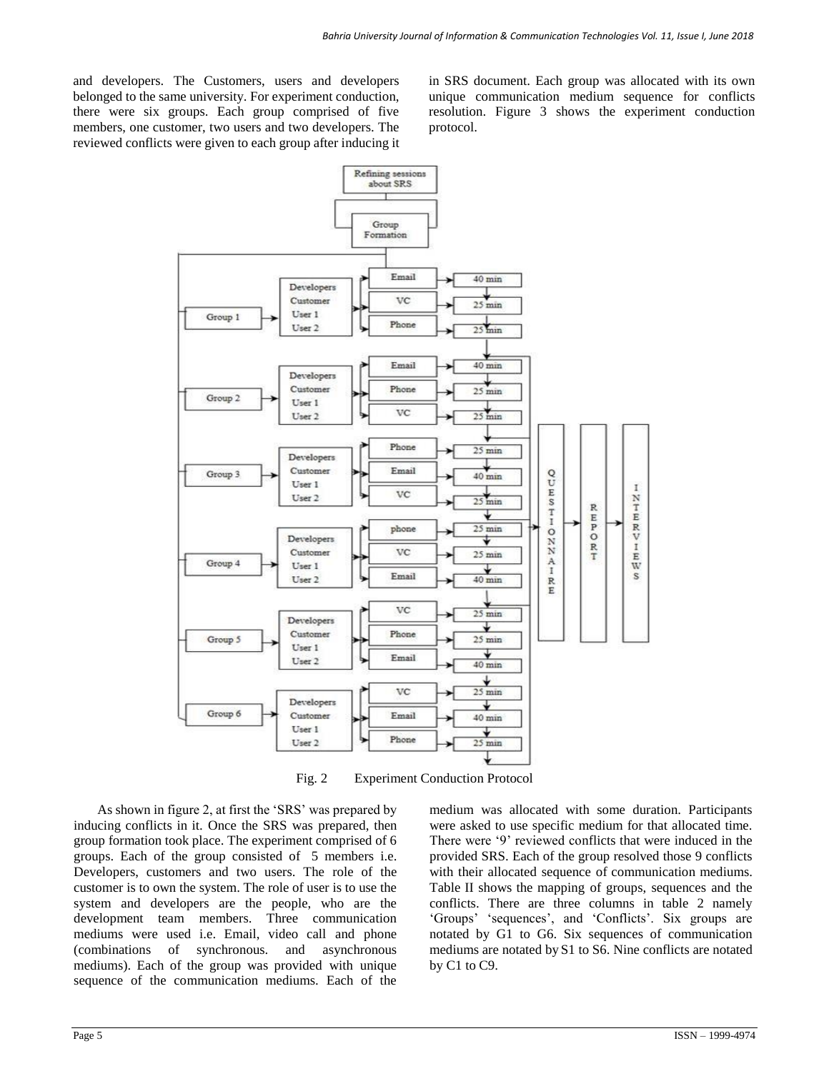and developers. The Customers, users and developers belonged to the same university. For experiment conduction, there were six groups. Each group comprised of five members, one customer, two users and two developers. The reviewed conflicts were given to each group after inducing it in SRS document. Each group was allocated with its own unique communication medium sequence for conflicts resolution. Figure 3 shows the experiment conduction protocol.



Fig. 2 Experiment Conduction Protocol

As shown in figure 2, at first the 'SRS' was prepared by inducing conflicts in it. Once the SRS was prepared, then group formation took place. The experiment comprised of 6 groups. Each of the group consisted of 5 members i.e. Developers, customers and two users. The role of the customer is to own the system. The role of user is to use the system and developers are the people, who are the development team members. Three communication mediums were used i.e. Email, video call and phone (combinations of synchronous. and asynchronous mediums). Each of the group was provided with unique sequence of the communication mediums. Each of the

medium was allocated with some duration. Participants were asked to use specific medium for that allocated time. There were '9' reviewed conflicts that were induced in the provided SRS. Each of the group resolved those 9 conflicts with their allocated sequence of communication mediums. Table II shows the mapping of groups, sequences and the conflicts. There are three columns in table 2 namely 'Groups' 'sequences', and 'Conflicts'. Six groups are notated by G1 to G6. Six sequences of communication mediums are notated by S1 to S6. Nine conflicts are notated by C1 to C9.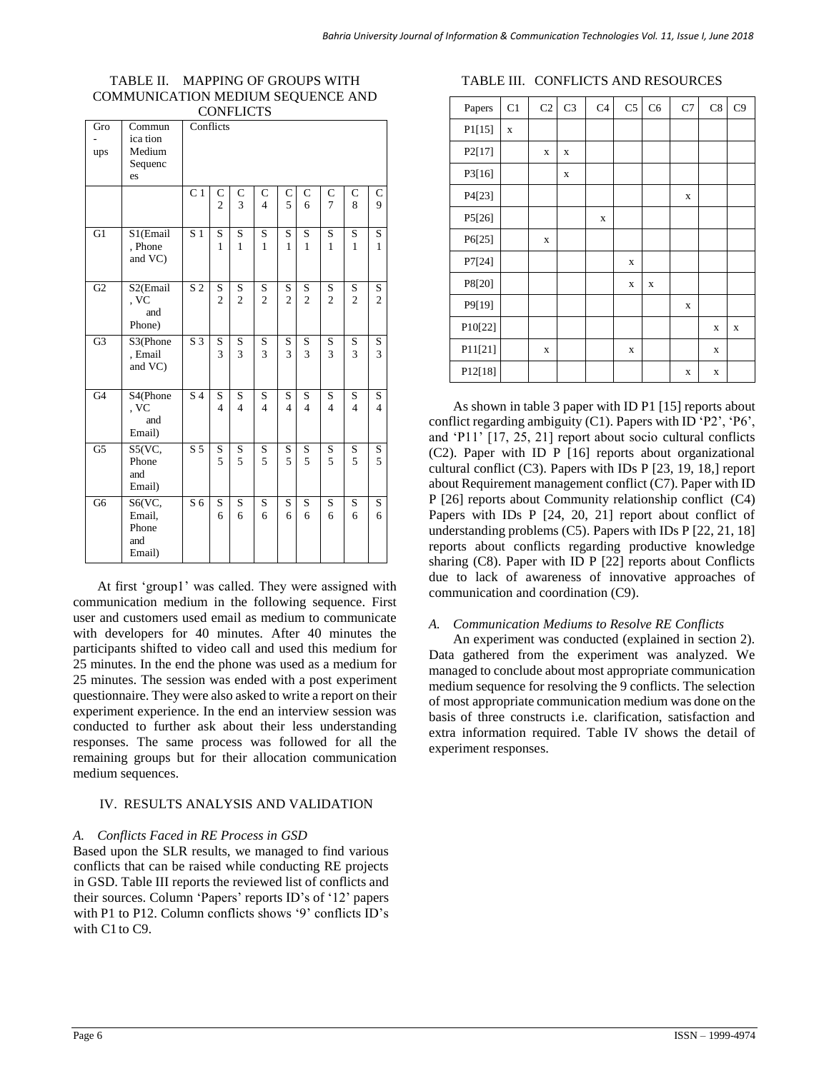#### TABLE II. MAPPING OF GROUPS WITH COMMUNICATION MEDIUM SEQUENCE AND CONEL LCTS

| CONTERCIO<br>Gro<br>Conflicts<br>Commun |          |                  |                |                  |                |                |                |                |                         |                         |
|-----------------------------------------|----------|------------------|----------------|------------------|----------------|----------------|----------------|----------------|-------------------------|-------------------------|
|                                         | ica tion |                  |                |                  |                |                |                |                |                         |                         |
| ups                                     | Medium   |                  |                |                  |                |                |                |                |                         |                         |
|                                         | Sequenc  |                  |                |                  |                |                |                |                |                         |                         |
|                                         | es       |                  |                |                  |                |                |                |                |                         |                         |
|                                         |          | C <sub>1</sub>   | C              |                  | C              | C              | $\mathbf C$    | C              | C                       |                         |
|                                         |          |                  | $\overline{c}$ | $\mathbf C$<br>3 | $\overline{4}$ | 5              | 6              | $\overline{7}$ | 8                       | С<br>9                  |
|                                         |          |                  |                |                  |                |                |                |                |                         |                         |
| $\overline{G1}$                         | S1(Email | $\overline{S1}$  | S              | $\mathbf S$      | S              | S              | $\mathbf S$    | S              | $\overline{\mathbf{S}}$ | $\overline{\mathbf{S}}$ |
|                                         | , Phone  |                  | $\mathbf{1}$   | $\mathbf{1}$     | $\mathbf{1}$   | 1              | $\mathbf{1}$   | $\mathbf{1}$   | $\mathbf{1}$            | $\mathbf{1}$            |
|                                         | and VC)  |                  |                |                  |                |                |                |                |                         |                         |
|                                         |          |                  |                |                  |                |                |                |                |                         |                         |
| G2                                      | S2(Email | $\overline{S2}$  | S              | S                | S              | S              | S              | S              | S                       | S                       |
|                                         | , VC     |                  | $\overline{c}$ | $\overline{c}$   | $\overline{c}$ | $\overline{c}$ | $\overline{c}$ | $\overline{c}$ | $\overline{c}$          | $\overline{2}$          |
|                                         | and      |                  |                |                  |                |                |                |                |                         |                         |
|                                         | Phone)   |                  |                |                  |                |                |                |                |                         |                         |
| G <sub>3</sub>                          | S3(Phone | $\overline{S}3$  | S              | S                | S              | S              | S              | S              | S                       | S                       |
|                                         | , Email  |                  | 3              | 3                | 3              | 3              | 3              | 3              | 3                       | 3                       |
|                                         | and VC)  |                  |                |                  |                |                |                |                |                         |                         |
| G <sub>4</sub>                          | S4(Phone | $\overline{S4}$  | S              | $\mathbf S$      | S              | S              | $\rm S$        | S              | $\mathbf S$             | S                       |
|                                         | , VC     |                  | $\overline{4}$ | $\overline{4}$   | $\overline{4}$ | $\overline{4}$ | $\overline{4}$ | $\overline{4}$ | $\overline{4}$          | $\overline{4}$          |
|                                         | and      |                  |                |                  |                |                |                |                |                         |                         |
|                                         | Email)   |                  |                |                  |                |                |                |                |                         |                         |
| $\overline{G5}$                         | S5(VC,   | $\overline{S}$ 5 | S              | S                | S              | S              | S              | S              | S                       | S                       |
|                                         | Phone    |                  | 5              | 5                | 5              | 5              | 5              | 5              | 5                       | 5                       |
|                                         | and      |                  |                |                  |                |                |                |                |                         |                         |
|                                         | Email)   |                  |                |                  |                |                |                |                |                         |                         |
| G6                                      | S6(VC,   | $\overline{S6}$  | S              | S                | S              | S              | S              | S              | S                       | S                       |
|                                         | Email,   |                  | 6              | 6                | 6              | 6              | 6              | 6              | 6                       | 6                       |
|                                         | Phone    |                  |                |                  |                |                |                |                |                         |                         |
|                                         | and      |                  |                |                  |                |                |                |                |                         |                         |
|                                         | Email)   |                  |                |                  |                |                |                |                |                         |                         |

At first 'group1' was called. They were assigned with communication medium in the following sequence. First user and customers used email as medium to communicate with developers for 40 minutes. After 40 minutes the participants shifted to video call and used this medium for 25 minutes. In the end the phone was used as a medium for 25 minutes. The session was ended with a post experiment questionnaire. They were also asked to write a report on their experiment experience. In the end an interview session was conducted to further ask about their less understanding responses. The same process was followed for all the remaining groups but for their allocation communication medium sequences.

# IV. RESULTS ANALYSIS AND VALIDATION

### *A. Conflicts Faced in RE Process in GSD*

Based upon the SLR results, we managed to find various conflicts that can be raised while conducting RE projects in GSD. Table III reports the reviewed list of conflicts and their sources. Column 'Papers' reports ID's of '12' papers with P1 to P12. Column conflicts shows '9' conflicts ID's with C1 to C9.

### TABLE III. CONFLICTS AND RESOURCES

| Papers              | C1          | C <sub>2</sub> | C <sub>3</sub> | C <sub>4</sub> | C <sub>5</sub> | C <sub>6</sub> | C7          | C8          | C9 |
|---------------------|-------------|----------------|----------------|----------------|----------------|----------------|-------------|-------------|----|
| P1[15]              | $\mathbf x$ |                |                |                |                |                |             |             |    |
| P <sub>2</sub> [17] |             | X              | X              |                |                |                |             |             |    |
| P3[16]              |             |                | X              |                |                |                |             |             |    |
| P4[23]              |             |                |                |                |                |                | X           |             |    |
| P5[26]              |             |                |                | $\mathbf X$    |                |                |             |             |    |
| P6[25]              |             | X              |                |                |                |                |             |             |    |
| P7[24]              |             |                |                |                | X              |                |             |             |    |
| P8[20]              |             |                |                |                | X              | $\mathbf X$    |             |             |    |
| P9[19]              |             |                |                |                |                |                | $\mathbf X$ |             |    |
| P10[22]             |             |                |                |                |                |                |             | $\mathbf X$ | X  |
| P11[21]             |             | $\mathbf X$    |                |                | $\mathbf x$    |                |             | $\mathbf x$ |    |
| P12[18]             |             |                |                |                |                |                | X           | X           |    |

As shown in table 3 paper with ID P1 [15] reports about conflict regarding ambiguity (C1). Papers with ID 'P2', 'P6', and 'P11' [17, 25, 21] report about socio cultural conflicts (C2). Paper with ID P [16] reports about organizational cultural conflict (C3). Papers with IDs P [23, 19, 18,] report about Requirement management conflict (C7). Paper with ID P [26] reports about Community relationship conflict (C4) Papers with IDs P [24, 20, 21] report about conflict of understanding problems (C5). Papers with IDs P [22, 21, 18] reports about conflicts regarding productive knowledge sharing (C8). Paper with ID P [22] reports about Conflicts due to lack of awareness of innovative approaches of communication and coordination (C9).

# *A. Communication Mediums to Resolve RE Conflicts*

An experiment was conducted (explained in section 2). Data gathered from the experiment was analyzed. We managed to conclude about most appropriate communication medium sequence for resolving the 9 conflicts. The selection of most appropriate communication medium was done on the basis of three constructs i.e. clarification, satisfaction and extra information required. Table IV shows the detail of experiment responses.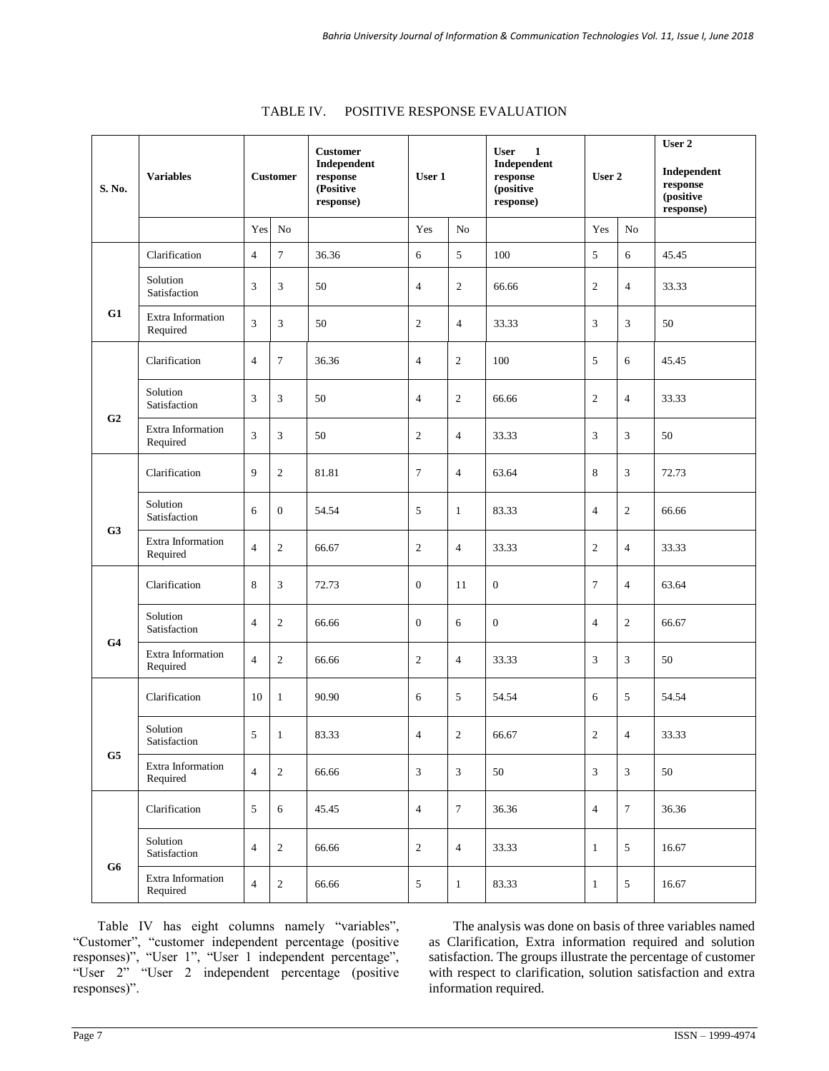| S. No.         | <b>Variables</b>              |                | <b>Customer</b>  | <b>Customer</b><br>Independent<br>response<br>(Positive<br>response) | User 1           |                | $\mathbf{1}$<br><b>User</b><br>Independent<br>response<br>User 2<br>(positive<br>response) |                  |                | User 2<br>Independent<br>response<br>(positive<br>response) |
|----------------|-------------------------------|----------------|------------------|----------------------------------------------------------------------|------------------|----------------|--------------------------------------------------------------------------------------------|------------------|----------------|-------------------------------------------------------------|
|                |                               | Yes            | $\rm No$         |                                                                      | Yes              | N <sub>o</sub> |                                                                                            | Yes              | No             |                                                             |
|                | Clarification                 | $\overline{4}$ | $\tau$           | 36.36                                                                | 6                | 5              | 100                                                                                        | $\sqrt{5}$       | 6              | 45.45                                                       |
|                | Solution<br>Satisfaction      | 3              | 3                | 50                                                                   | $\overline{4}$   | $\mathfrak{2}$ | 66.66                                                                                      | $\mathfrak{2}$   | $\overline{4}$ | 33.33                                                       |
| G1             | Extra Information<br>Required | 3              | 3                | 50                                                                   | $\mathfrak{2}$   | $\overline{4}$ | 33.33                                                                                      | 3                | 3              | 50                                                          |
|                | Clarification                 | $\overline{4}$ | $\tau$           | 36.36                                                                | $\overline{4}$   | $\overline{c}$ | 100                                                                                        | 5                | 6              | 45.45                                                       |
| G <sub>2</sub> | Solution<br>Satisfaction      | 3              | 3                | 50                                                                   | $\overline{4}$   | $\sqrt{2}$     | 66.66                                                                                      | $\mathfrak{2}$   | 4              | 33.33                                                       |
|                | Extra Information<br>Required | 3              | 3                | 50                                                                   | $\mathfrak{2}$   | $\overline{4}$ | 33.33                                                                                      | 3                | 3              | 50                                                          |
|                | Clarification                 | 9              | $\boldsymbol{2}$ | 81.81                                                                | $\tau$           | $\overline{4}$ | 63.64                                                                                      | 8                | 3              | 72.73                                                       |
|                | Solution<br>Satisfaction      | 6              | $\mathbf{0}$     | 54.54                                                                | 5                | $\mathbf{1}$   | 83.33                                                                                      | $\overline{4}$   | $\mathfrak{2}$ | 66.66                                                       |
| G <sub>3</sub> | Extra Information<br>Required | $\overline{4}$ | $\mathbf{2}$     | 66.67                                                                | $\mathfrak{2}$   | $\overline{4}$ | 33.33                                                                                      | $\mathfrak{2}$   | $\overline{4}$ | 33.33                                                       |
|                | Clarification                 | 8              | 3                | 72.73                                                                | $\theta$         | 11             | $\theta$                                                                                   | $\tau$           | 4              | 63.64                                                       |
|                | Solution<br>Satisfaction      | $\overline{4}$ | $\overline{c}$   | 66.66                                                                | $\boldsymbol{0}$ | 6              | $\boldsymbol{0}$                                                                           | $\overline{4}$   | $\mathfrak{2}$ | 66.67                                                       |
| G <sub>4</sub> | Extra Information<br>Required | $\overline{4}$ | $\mathbf{2}$     | 66.66                                                                | $\mathfrak{2}$   | $\overline{4}$ | 33.33                                                                                      | 3                | 3              | 50                                                          |
|                | Clarification                 | 10             | $\mathbf{1}$     | 90.90                                                                | 6                | 5              | 54.54                                                                                      | 6                | 5              | 54.54                                                       |
|                | Solution<br>Satisfaction      | 5              | $\mathbf{1}$     | 83.33                                                                | $\overline{4}$   | $\mathfrak{2}$ | 66.67                                                                                      | $\boldsymbol{2}$ | $\overline{4}$ | 33.33                                                       |
| G5             | Extra Information<br>Required | $\overline{4}$ | $\sqrt{2}$       | 66.66                                                                | 3                | 3              | 50                                                                                         | $\mathfrak{Z}$   | $\mathfrak{Z}$ | 50                                                          |
|                | Clarification                 | 5              | 6                | 45.45                                                                | $\overline{4}$   | $\tau$         | 36.36                                                                                      | $\overline{4}$   | $\tau$         | 36.36                                                       |
|                | Solution<br>Satisfaction      | $\overline{4}$ | $\overline{c}$   | 66.66                                                                | $\boldsymbol{2}$ | $\overline{4}$ | 33.33                                                                                      | 1                | 5              | 16.67                                                       |
| G6             | Extra Information<br>Required | $\overline{4}$ | $\sqrt{2}$       | 66.66                                                                | 5                | $\mathbf{1}$   | 83.33                                                                                      | 1                | $\sqrt{5}$     | 16.67                                                       |

| TABLE IV. | <b>POSITIVE RESPONSE EVALUATION</b> |  |
|-----------|-------------------------------------|--|
|           |                                     |  |

Table IV has eight columns namely "variables", "Customer", "customer independent percentage (positive responses)", "User 1", "User 1 independent percentage", "User 2" "User 2 independent percentage (positive responses)".

The analysis was done on basis of three variables named as Clarification, Extra information required and solution satisfaction. The groups illustrate the percentage of customer with respect to clarification, solution satisfaction and extra information required.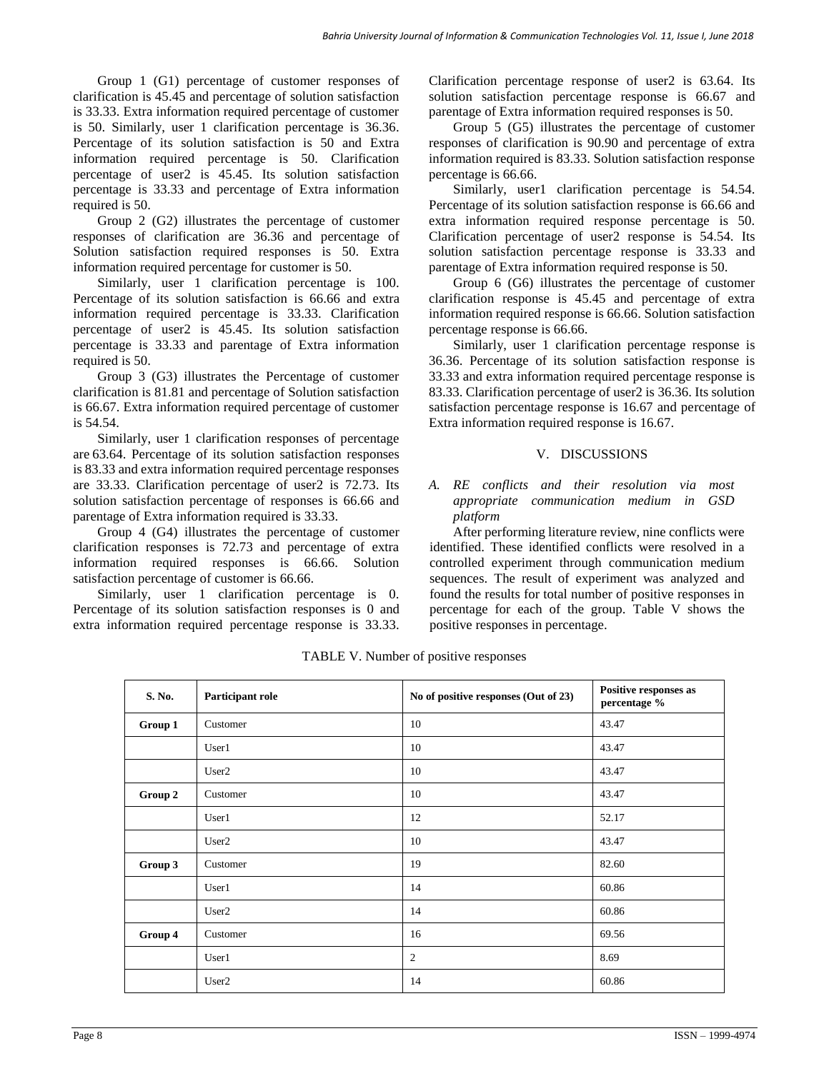Group 1 (G1) percentage of customer responses of clarification is 45.45 and percentage of solution satisfaction is 33.33. Extra information required percentage of customer is 50. Similarly, user 1 clarification percentage is 36.36. Percentage of its solution satisfaction is 50 and Extra information required percentage is 50. Clarification percentage of user2 is 45.45. Its solution satisfaction percentage is 33.33 and percentage of Extra information required is 50.

Group 2 (G2) illustrates the percentage of customer responses of clarification are 36.36 and percentage of Solution satisfaction required responses is 50. Extra information required percentage for customer is 50.

Similarly, user 1 clarification percentage is 100. Percentage of its solution satisfaction is 66.66 and extra information required percentage is 33.33. Clarification percentage of user2 is 45.45. Its solution satisfaction percentage is 33.33 and parentage of Extra information required is 50.

Group 3 (G3) illustrates the Percentage of customer clarification is 81.81 and percentage of Solution satisfaction is 66.67. Extra information required percentage of customer is 54.54.

Similarly, user 1 clarification responses of percentage are 63.64. Percentage of its solution satisfaction responses is 83.33 and extra information required percentage responses are 33.33. Clarification percentage of user2 is 72.73. Its solution satisfaction percentage of responses is 66.66 and parentage of Extra information required is 33.33.

Group 4 (G4) illustrates the percentage of customer clarification responses is 72.73 and percentage of extra information required responses is 66.66. Solution satisfaction percentage of customer is 66.66.

Similarly, user 1 clarification percentage is 0. Percentage of its solution satisfaction responses is 0 and extra information required percentage response is 33.33. Clarification percentage response of user2 is 63.64. Its solution satisfaction percentage response is 66.67 and parentage of Extra information required responses is 50.

Group 5 (G5) illustrates the percentage of customer responses of clarification is 90.90 and percentage of extra information required is 83.33. Solution satisfaction response percentage is 66.66.

Similarly, user1 clarification percentage is 54.54. Percentage of its solution satisfaction response is 66.66 and extra information required response percentage is 50. Clarification percentage of user2 response is 54.54. Its solution satisfaction percentage response is 33.33 and parentage of Extra information required response is 50.

Group 6 (G6) illustrates the percentage of customer clarification response is 45.45 and percentage of extra information required response is 66.66. Solution satisfaction percentage response is 66.66.

Similarly, user 1 clarification percentage response is 36.36. Percentage of its solution satisfaction response is 33.33 and extra information required percentage response is 83.33. Clarification percentage of user2 is 36.36. Its solution satisfaction percentage response is 16.67 and percentage of Extra information required response is 16.67.

# V. DISCUSSIONS

#### *A. RE conflicts and their resolution via most appropriate communication medium in GSD platform*

After performing literature review, nine conflicts were identified. These identified conflicts were resolved in a controlled experiment through communication medium sequences. The result of experiment was analyzed and found the results for total number of positive responses in percentage for each of the group. Table V shows the positive responses in percentage.

| S. No.  | Participant role  | No of positive responses (Out of 23) | Positive responses as<br>percentage % |
|---------|-------------------|--------------------------------------|---------------------------------------|
| Group 1 | Customer          | 10                                   | 43.47                                 |
|         | User1             | 10                                   | 43.47                                 |
|         | User <sub>2</sub> | 10                                   | 43.47                                 |
| Group 2 | Customer          | 10                                   | 43.47                                 |
|         | User1             | 12                                   | 52.17                                 |
|         | User <sub>2</sub> | 10                                   | 43.47                                 |
| Group 3 | Customer          | 19                                   | 82.60                                 |
|         | User1             | 14                                   | 60.86                                 |
|         | User <sub>2</sub> | 14                                   | 60.86                                 |
| Group 4 | Customer          | 16                                   | 69.56                                 |
|         | User1             | $\overline{2}$                       | 8.69                                  |
|         | User <sub>2</sub> | 14                                   | 60.86                                 |

TABLE V. Number of positive responses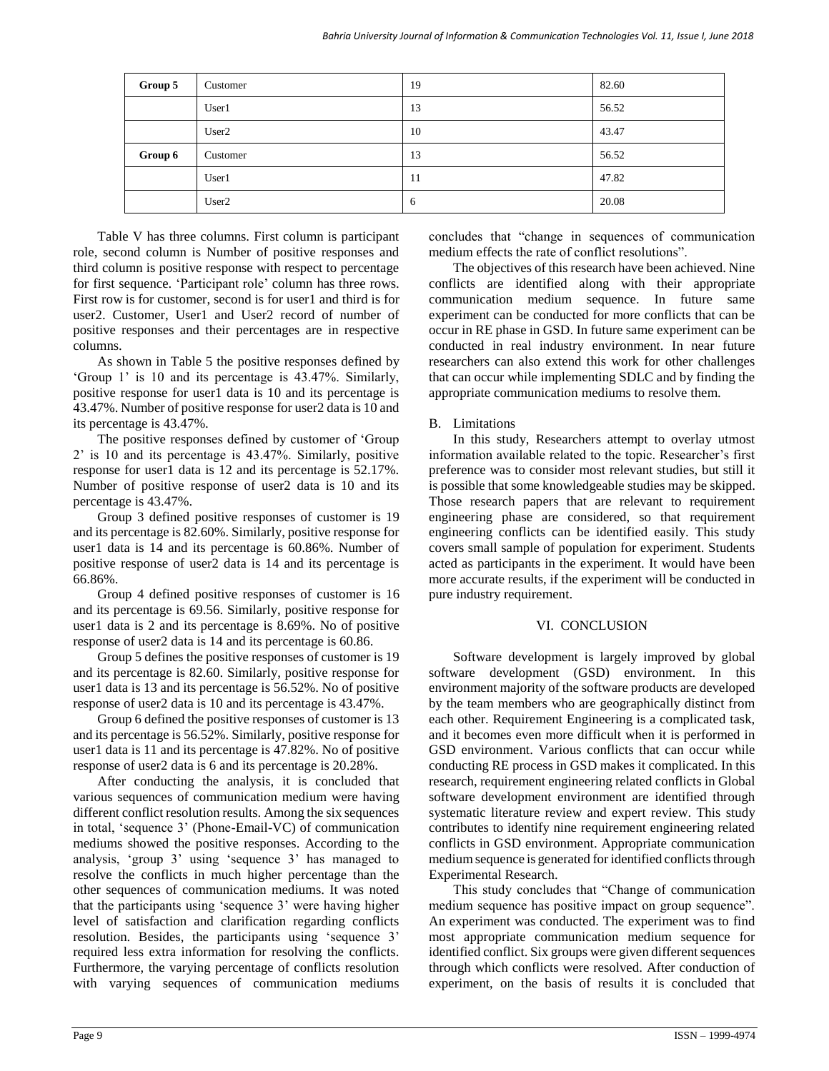| Group 5 | Customer          | 19 | 82.60 |
|---------|-------------------|----|-------|
|         | User1             | 13 | 56.52 |
|         | User <sub>2</sub> | 10 | 43.47 |
| Group 6 | Customer          | 13 | 56.52 |
|         | User1             | 11 | 47.82 |
|         | User <sub>2</sub> | 6  | 20.08 |

Table V has three columns. First column is participant role, second column is Number of positive responses and third column is positive response with respect to percentage for first sequence. 'Participant role' column has three rows. First row is for customer, second is for user1 and third is for user2. Customer, User1 and User2 record of number of positive responses and their percentages are in respective columns.

As shown in Table 5 the positive responses defined by 'Group 1' is 10 and its percentage is 43.47%. Similarly, positive response for user1 data is 10 and its percentage is 43.47%. Number of positive response for user2 data is 10 and its percentage is 43.47%.

The positive responses defined by customer of 'Group 2' is 10 and its percentage is 43.47%. Similarly, positive response for user1 data is 12 and its percentage is 52.17%. Number of positive response of user2 data is 10 and its percentage is 43.47%.

Group 3 defined positive responses of customer is 19 and its percentage is 82.60%. Similarly, positive response for user1 data is 14 and its percentage is 60.86%. Number of positive response of user2 data is 14 and its percentage is 66.86%.

Group 4 defined positive responses of customer is 16 and its percentage is 69.56. Similarly, positive response for user1 data is 2 and its percentage is 8.69%. No of positive response of user2 data is 14 and its percentage is 60.86.

Group 5 defines the positive responses of customer is 19 and its percentage is 82.60. Similarly, positive response for user1 data is 13 and its percentage is 56.52%. No of positive response of user2 data is 10 and its percentage is 43.47%.

Group 6 defined the positive responses of customer is 13 and its percentage is 56.52%. Similarly, positive response for user1 data is 11 and its percentage is 47.82%. No of positive response of user2 data is 6 and its percentage is 20.28%.

After conducting the analysis, it is concluded that various sequences of communication medium were having different conflict resolution results. Among the six sequences in total, 'sequence 3' (Phone-Email-VC) of communication mediums showed the positive responses. According to the analysis, 'group 3' using 'sequence 3' has managed to resolve the conflicts in much higher percentage than the other sequences of communication mediums. It was noted that the participants using 'sequence 3' were having higher level of satisfaction and clarification regarding conflicts resolution. Besides, the participants using 'sequence 3' required less extra information for resolving the conflicts. Furthermore, the varying percentage of conflicts resolution with varying sequences of communication mediums concludes that "change in sequences of communication medium effects the rate of conflict resolutions".

The objectives of this research have been achieved. Nine conflicts are identified along with their appropriate communication medium sequence. In future same experiment can be conducted for more conflicts that can be occur in RE phase in GSD. In future same experiment can be conducted in real industry environment. In near future researchers can also extend this work for other challenges that can occur while implementing SDLC and by finding the appropriate communication mediums to resolve them.

# B. Limitations

In this study, Researchers attempt to overlay utmost information available related to the topic. Researcher's first preference was to consider most relevant studies, but still it is possible that some knowledgeable studies may be skipped. Those research papers that are relevant to requirement engineering phase are considered, so that requirement engineering conflicts can be identified easily. This study covers small sample of population for experiment. Students acted as participants in the experiment. It would have been more accurate results, if the experiment will be conducted in pure industry requirement.

# VI. CONCLUSION

Software development is largely improved by global software development (GSD) environment. In this environment majority of the software products are developed by the team members who are geographically distinct from each other. Requirement Engineering is a complicated task, and it becomes even more difficult when it is performed in GSD environment. Various conflicts that can occur while conducting RE process in GSD makes it complicated. In this research, requirement engineering related conflicts in Global software development environment are identified through systematic literature review and expert review. This study contributes to identify nine requirement engineering related conflicts in GSD environment. Appropriate communication medium sequence is generated for identified conflicts through Experimental Research.

This study concludes that "Change of communication medium sequence has positive impact on group sequence". An experiment was conducted. The experiment was to find most appropriate communication medium sequence for identified conflict. Six groups were given different sequences through which conflicts were resolved. After conduction of experiment, on the basis of results it is concluded that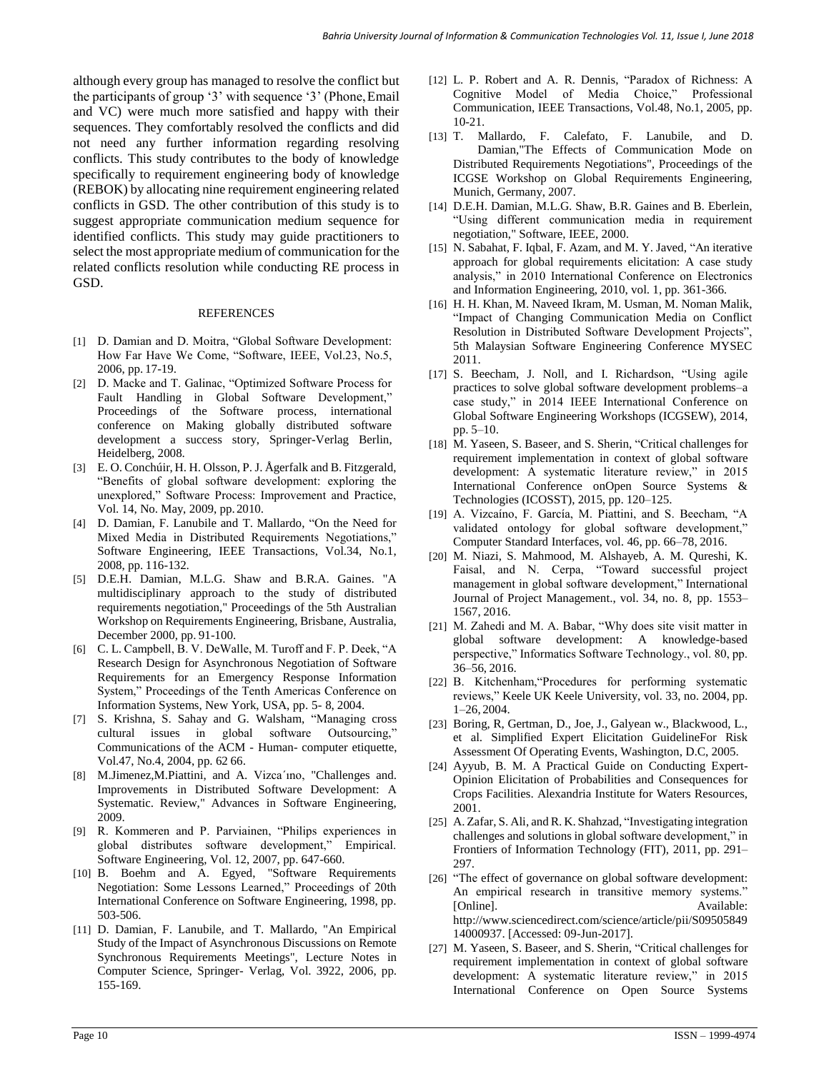although every group has managed to resolve the conflict but the participants of group '3' with sequence '3' (Phone,Email and VC) were much more satisfied and happy with their sequences. They comfortably resolved the conflicts and did not need any further information regarding resolving conflicts. This study contributes to the body of knowledge specifically to requirement engineering body of knowledge (REBOK) by allocating nine requirement engineering related conflicts in GSD. The other contribution of this study is to suggest appropriate communication medium sequence for identified conflicts. This study may guide practitioners to select the most appropriate medium of communication for the related conflicts resolution while conducting RE process in GSD.

#### REFERENCES

- [1] D. Damian and D. Moitra, "Global Software Development: How Far Have We Come, "Software, IEEE, Vol.23, No.5, 2006, pp. 17-19.
- [2] D. Macke and T. Galinac, "Optimized Software Process for Fault Handling in Global Software Development," Proceedings of the Software process, international conference on Making globally distributed software development a success story, Springer-Verlag Berlin, Heidelberg, 2008.
- [3] E. O. Conchúir, H. H. Olsson, P. J. Ågerfalk and B. Fitzgerald, "Benefits of global software development: exploring the unexplored," Software Process: Improvement and Practice, Vol. 14, No. May, 2009, pp.2010.
- [4] D. Damian, F. Lanubile and T. Mallardo, "On the Need for Mixed Media in Distributed Requirements Negotiations," Software Engineering, IEEE Transactions, Vol.34, No.1, 2008, pp. 116-132.
- [5] D.E.H. Damian, M.L.G. Shaw and B.R.A. Gaines. "A multidisciplinary approach to the study of distributed requirements negotiation," Proceedings of the 5th Australian Workshop on Requirements Engineering, Brisbane, Australia, December 2000, pp. 91-100.
- [6] C. L. Campbell, B. V. DeWalle, M. Turoff and F. P. Deek, "A Research Design for Asynchronous Negotiation of Software Requirements for an Emergency Response Information System," Proceedings of the Tenth Americas Conference on Information Systems, New York, USA, pp. 5- 8, 2004.
- [7] S. Krishna, S. Sahay and G. Walsham, "Managing cross cultural issues in global software Outsourcing," Communications of the ACM - Human- computer etiquette, Vol.47, No.4, 2004, pp. 62 66.
- [8] M.Jimenez,M.Piattini, and A. Vizca´ıno, "Challenges and. Improvements in Distributed Software Development: A Systematic. Review," Advances in Software Engineering, 2009.
- [9] R. Kommeren and P. Parviainen, "Philips experiences in global distributes software development," Empirical. Software Engineering, Vol. 12, 2007, pp. 647-660.
- [10] B. Boehm and A. Egyed, "Software Requirements Negotiation: Some Lessons Learned," Proceedings of 20th International Conference on Software Engineering, 1998, pp. 503-506.
- [11] D. Damian, F. Lanubile, and T. Mallardo, "An Empirical Study of the Impact of Asynchronous Discussions on Remote Synchronous Requirements Meetings", Lecture Notes in Computer Science, Springer- Verlag, Vol. 3922, 2006, pp. 155-169.
- [12] L. P. Robert and A. R. Dennis, "Paradox of Richness: A Cognitive Model of Media Choice," Professional Communication, IEEE Transactions, Vol.48, No.1, 2005, pp. 10-21.
- [13] T. Mallardo, F. Calefato, F. Lanubile, and D. Damian,"The Effects of Communication Mode on Distributed Requirements Negotiations", Proceedings of the ICGSE Workshop on Global Requirements Engineering, Munich, Germany, 2007.
- [14] D.E.H. Damian, M.L.G. Shaw, B.R. Gaines and B. Eberlein, "Using different communication media in requirement negotiation," Software, IEEE, 2000.
- [15] N. Sabahat, F. Iqbal, F. Azam, and M. Y. Javed, "An iterative approach for global requirements elicitation: A case study analysis," in 2010 International Conference on Electronics and Information Engineering, 2010, vol. 1, pp. 361-366.
- [16] H. H. Khan, M. Naveed Ikram, M. Usman, M. Noman Malik, "Impact of Changing Communication Media on Conflict Resolution in Distributed Software Development Projects", 5th Malaysian Software Engineering Conference MYSEC 2011.
- [17] S. Beecham, J. Noll, and I. Richardson, "Using agile practices to solve global software development problems–a case study," in 2014 IEEE International Conference on Global Software Engineering Workshops (ICGSEW), 2014, pp. 5–10.
- [18] M. Yaseen, S. Baseer, and S. Sherin, "Critical challenges for requirement implementation in context of global software development: A systematic literature review," in 2015 International Conference onOpen Source Systems & Technologies (ICOSST), 2015, pp. 120–125.
- [19] A. Vizcaíno, F. García, M. Piattini, and S. Beecham, "A validated ontology for global software development," Computer Standard Interfaces, vol. 46, pp. 66–78, 2016.
- [20] M. Niazi, S. Mahmood, M. Alshayeb, A. M. Qureshi, K. Faisal, and N. Cerpa, "Toward successful project management in global software development," International Journal of Project Management., vol. 34, no. 8, pp. 1553– 1567, 2016.
- [21] M. Zahedi and M. A. Babar, "Why does site visit matter in global software development: A knowledge-based perspective," Informatics Software Technology., vol. 80, pp. 36–56, 2016.
- [22] B. Kitchenham,"Procedures for performing systematic reviews," Keele UK Keele University, vol. 33, no. 2004, pp. 1–26, 2004.
- [23] Boring, R, Gertman, D., Joe, J., Galyean w., Blackwood, L., et al. Simplified Expert Elicitation GuidelineFor Risk Assessment Of Operating Events, Washington, D.C, 2005.
- [24] Ayyub, B. M. A Practical Guide on Conducting Expert-Opinion Elicitation of Probabilities and Consequences for Crops Facilities. Alexandria Institute for Waters Resources, 2001.
- [25] A. Zafar, S. Ali, and R. K. Shahzad, "Investigating integration challenges and solutions in global software development," in Frontiers of Information Technology (FIT), 2011, pp. 291– 297.
- [26] "The effect of governance on global software development: An empirical research in transitive memory systems." [Online]. Availabl[e:](http://www.sciencedirect.com/science/article/pii/S0950584914000937) [http://www.sciencedirect.com/science/article/pii/S09505849](http://www.sciencedirect.com/science/article/pii/S0950584914000937) [14000937.](http://www.sciencedirect.com/science/article/pii/S0950584914000937) [Accessed: 09-Jun-2017].
- [27] M. Yaseen, S. Baseer, and S. Sherin, "Critical challenges for requirement implementation in context of global software development: A systematic literature review," in 2015 International Conference on Open Source Systems